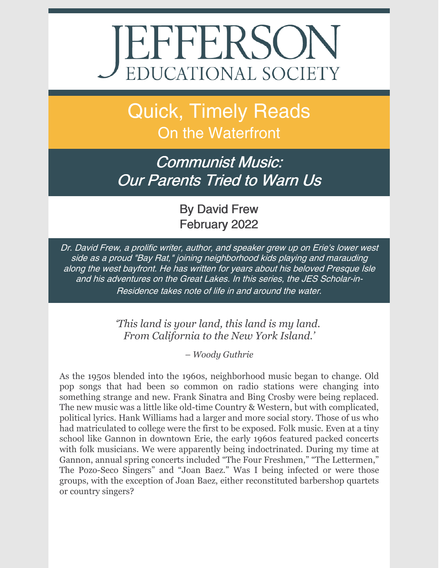## EPPERSON

Quick, Timely Reads On the Waterfront

## Communist Music: Our Parents Tried to Warn Us

By David Frew February 2022

Dr. David Frew, <sup>a</sup> prolific writer, author, and speaker grew up on Erie's lower west side as <sup>a</sup> proud "Bay Rat," joining neighborhood kids playing and marauding along the west bayfront. He has written for years about his beloved Presque Isle and his adventures on the Great Lakes. In this series, the JES Scholar-in-Residence takes note of life in and around the water.

> *'This land is your land, this land is my land. From California to the New York Island.'*

> > *– Woody Guthrie*

As the 1950s blended into the 1960s, neighborhood music began to change. Old pop songs that had been so common on radio stations were changing into something strange and new. Frank Sinatra and Bing Crosby were being replaced. The new music was a little like old-time Country & Western, but with complicated, political lyrics. Hank Williams had a larger and more social story. Those of us who had matriculated to college were the first to be exposed. Folk music. Even at a tiny school like Gannon in downtown Erie, the early 1960s featured packed concerts with folk musicians. We were apparently being indoctrinated. During my time at Gannon, annual spring concerts included "The Four Freshmen," "The Lettermen," The Pozo-Seco Singers" and "Joan Baez." Was I being infected or were those groups, with the exception of Joan Baez, either reconstituted barbershop quartets or country singers?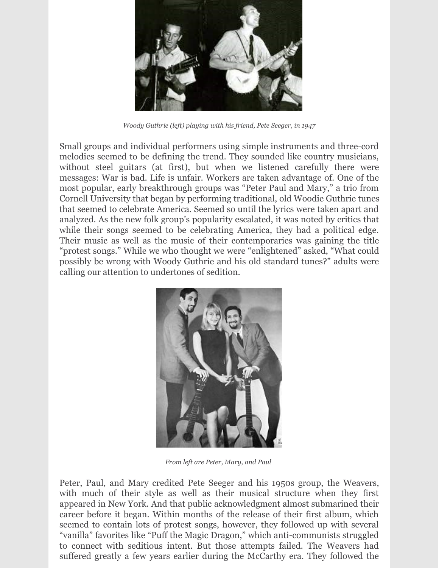

*Woody Guthrie (left) playing with his friend, Pete Seeger, in 1947*

Small groups and individual performers using simple instruments and three-cord melodies seemed to be defining the trend. They sounded like country musicians, without steel guitars (at first), but when we listened carefully there were messages: War is bad. Life is unfair. Workers are taken advantage of. One of the most popular, early breakthrough groups was "Peter Paul and Mary," a trio from Cornell University that began by performing traditional, old Woodie Guthrie tunes that seemed to celebrate America. Seemed so until the lyrics were taken apart and analyzed. As the new folk group's popularity escalated, it was noted by critics that while their songs seemed to be celebrating America, they had a political edge. Their music as well as the music of their contemporaries was gaining the title "protest songs." While we who thought we were "enlightened" asked, "What could possibly be wrong with Woody Guthrie and his old standard tunes?" adults were calling our attention to undertones of sedition.



*From left are Peter, Mary, and Paul*

Peter, Paul, and Mary credited Pete Seeger and his 1950s group, the Weavers, with much of their style as well as their musical structure when they first appeared in New York. And that public acknowledgment almost submarined their career before it began. Within months of the release of their first album, which seemed to contain lots of protest songs, however, they followed up with several "vanilla" favorites like "Puff the Magic Dragon," which anti-communists struggled to connect with seditious intent. But those attempts failed. The Weavers had suffered greatly a few years earlier during the McCarthy era. They followed the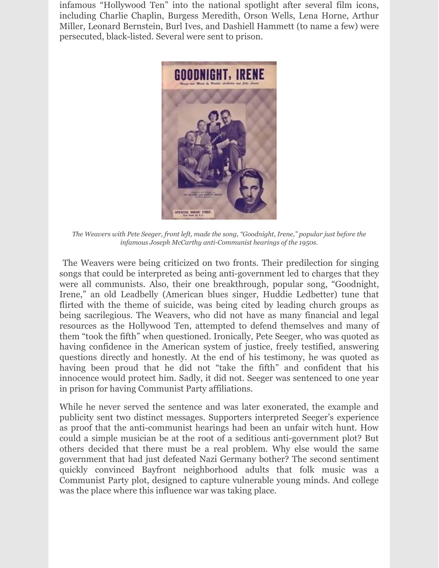infamous "Hollywood Ten" into the national spotlight after several film icons, including Charlie Chaplin, Burgess Meredith, Orson Wells, Lena Horne, Arthur Miller, Leonard Bernstein, Burl Ives, and Dashiell Hammett (to name a few) were persecuted, black-listed. Several were sent to prison.



*The Weavers with Pete Seeger, front left, made the song, "Goodnight, Irene," popular just before the infamous Joseph McCarthy anti-Communist hearings of the 1950s.*

The Weavers were being criticized on two fronts. Their predilection for singing songs that could be interpreted as being anti-government led to charges that they were all communists. Also, their one breakthrough, popular song, "Goodnight, Irene," an old Leadbelly (American blues singer, Huddie Ledbetter) tune that flirted with the theme of suicide, was being cited by leading church groups as being sacrilegious. The Weavers, who did not have as many financial and legal resources as the Hollywood Ten, attempted to defend themselves and many of them "took the fifth" when questioned. Ironically, Pete Seeger, who was quoted as having confidence in the American system of justice, freely testified, answering questions directly and honestly. At the end of his testimony, he was quoted as having been proud that he did not "take the fifth" and confident that his innocence would protect him. Sadly, it did not. Seeger was sentenced to one year in prison for having Communist Party affiliations.

While he never served the sentence and was later exonerated, the example and publicity sent two distinct messages. Supporters interpreted Seeger's experience as proof that the anti-communist hearings had been an unfair witch hunt. How could a simple musician be at the root of a seditious anti-government plot? But others decided that there must be a real problem. Why else would the same government that had just defeated Nazi Germany bother? The second sentiment quickly convinced Bayfront neighborhood adults that folk music was a Communist Party plot, designed to capture vulnerable young minds. And college was the place where this influence war was taking place.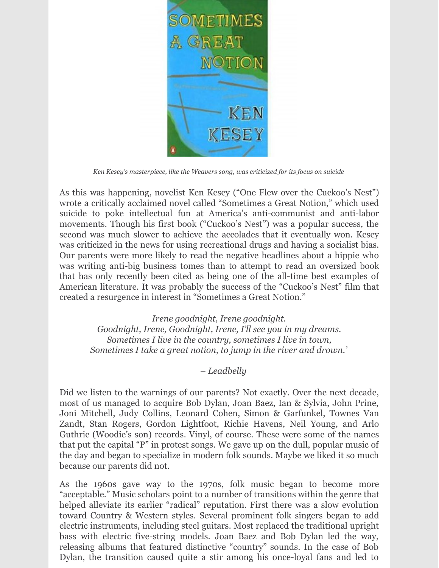

*Ken Kesey's masterpiece, like the Weavers song, was criticized for its focus on suicide*

As this was happening, novelist Ken Kesey ("One Flew over the Cuckoo's Nest") wrote a critically acclaimed novel called "Sometimes a Great Notion," which used suicide to poke intellectual fun at America's anti-communist and anti-labor movements. Though his first book ("Cuckoo's Nest") was a popular success, the second was much slower to achieve the accolades that it eventually won. Kesey was criticized in the news for using recreational drugs and having a socialist bias. Our parents were more likely to read the negative headlines about a hippie who was writing anti-big business tomes than to attempt to read an oversized book that has only recently been cited as being one of the all-time best examples of American literature. It was probably the success of the "Cuckoo's Nest" film that created a resurgence in interest in "Sometimes a Great Notion."

*Irene goodnight, Irene goodnight. Goodnight, Irene, Goodnight, Irene, I'll see you in my dreams. Sometimes I live in the country, sometimes I live in town, Sometimes I take a great notion, to jump in the river and drown.'*

*– Leadbelly*

Did we listen to the warnings of our parents? Not exactly. Over the next decade, most of us managed to acquire Bob Dylan, Joan Baez, Ian & Sylvia, John Prine, Joni Mitchell, Judy Collins, Leonard Cohen, Simon & Garfunkel, Townes Van Zandt, Stan Rogers, Gordon Lightfoot, Richie Havens, Neil Young, and Arlo Guthrie (Woodie's son) records. Vinyl, of course. These were some of the names that put the capital "P" in protest songs. We gave up on the dull, popular music of the day and began to specialize in modern folk sounds. Maybe we liked it so much because our parents did not.

As the 1960s gave way to the 1970s, folk music began to become more "acceptable." Music scholars point to a number of transitions within the genre that helped alleviate its earlier "radical" reputation. First there was a slow evolution toward Country & Western styles. Several prominent folk singers began to add electric instruments, including steel guitars. Most replaced the traditional upright bass with electric five-string models. Joan Baez and Bob Dylan led the way, releasing albums that featured distinctive "country" sounds. In the case of Bob Dylan, the transition caused quite a stir among his once-loyal fans and led to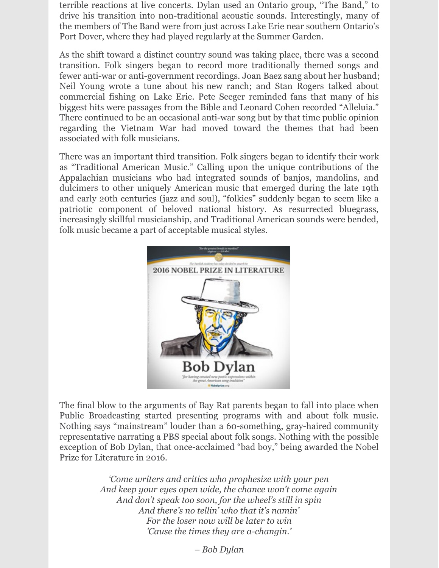terrible reactions at live concerts. Dylan used an Ontario group, "The Band," to drive his transition into non-traditional acoustic sounds. Interestingly, many of the members of The Band were from just across Lake Erie near southern Ontario's Port Dover, where they had played regularly at the Summer Garden.

As the shift toward a distinct country sound was taking place, there was a second transition. Folk singers began to record more traditionally themed songs and fewer anti-war or anti-government recordings. Joan Baez sang about her husband; Neil Young wrote a tune about his new ranch; and Stan Rogers talked about commercial fishing on Lake Erie. Pete Seeger reminded fans that many of his biggest hits were passages from the Bible and Leonard Cohen recorded "Alleluia." There continued to be an occasional anti-war song but by that time public opinion regarding the Vietnam War had moved toward the themes that had been associated with folk musicians.

There was an important third transition. Folk singers began to identify their work as "Traditional American Music." Calling upon the unique contributions of the Appalachian musicians who had integrated sounds of banjos, mandolins, and dulcimers to other uniquely American music that emerged during the late 19th and early 20th centuries (jazz and soul), "folkies" suddenly began to seem like a patriotic component of beloved national history. As resurrected bluegrass, increasingly skillful musicianship, and Traditional American sounds were bended, folk music became a part of acceptable musical styles.



The final blow to the arguments of Bay Rat parents began to fall into place when Public Broadcasting started presenting programs with and about folk music. Nothing says "mainstream" louder than a 60-something, gray-haired community representative narrating a PBS special about folk songs. Nothing with the possible exception of Bob Dylan, that once-acclaimed "bad boy," being awarded the Nobel Prize for Literature in 2016.

> *'Come writers and critics who prophesize with your pen And keep your eyes open wide, the chance won't come again And don't speak too soon, for the wheel's still in spin And there's no tellin' who that it's namin' For the loser now will be later to win 'Cause the times they are a-changin.'*

> > *– Bob Dylan*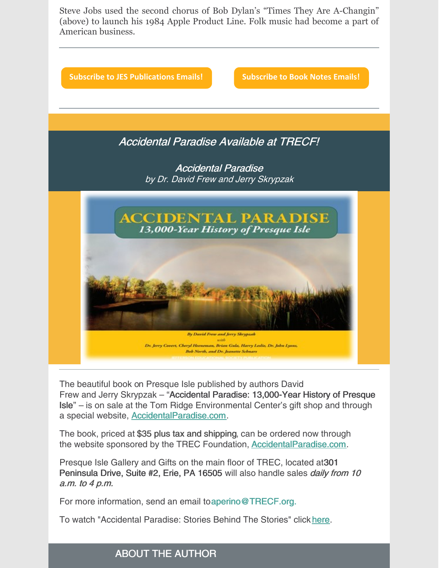

The beautiful book on Presque Isle published by authors David Frew and Jerry Skrypzak – "Accidental Paradise: 13,000-Year History of Presque Isle" – is on sale at the Tom Ridge Environmental Center's gift shop and through a special website, [AccidentalParadise.com](http://r20.rs6.net/tn.jsp?f=001EIJ4bWInbAgZbfubFkRC6CJbiNPBnDNmlUevQbPeCp1CHyPy1PudVT_GBGMKCgQkI5_hxwzW8RAuM_JPgy-OW4cwbEtSpi2bXvIzjjPOzDvf5Za4YQ6DXvK7wLRR56asG7Ya4wMn-TbrCz2fsITPjg==&c=WAaU3N0-L4YGB3ynOn-kUkgM_yiuLjPWr84Za7eXf1C6hqLg9eYUwQ==&ch=CjD0a-KMcO9BAvzxTmthj-rGDyoqC43eKwiy7Xv9UvzdH29THLJyEw==).

The book, priced at \$35 plus tax and shipping, can be ordered now through the website sponsored by the TREC Foundation, [AccidentalParadise.com](http://r20.rs6.net/tn.jsp?f=001EIJ4bWInbAgZbfubFkRC6CJbiNPBnDNmlUevQbPeCp1CHyPy1PudVSoSqIsYDhcA2SVqGDFbvwXgwDL8Czp1wjUocXtAllu6z186Q0Y8g_KhSkRdZX9w7zBMb3-ovne_jE0DF8YyX2sBzca0-7AbuWORKrz902cn9WpYIdN3_Ho=&c=WAaU3N0-L4YGB3ynOn-kUkgM_yiuLjPWr84Za7eXf1C6hqLg9eYUwQ==&ch=CjD0a-KMcO9BAvzxTmthj-rGDyoqC43eKwiy7Xv9UvzdH29THLJyEw==).

Presque Isle Gallery and Gifts on the main floor of TREC, located at301 Peninsula Drive, Suite #2, Erie, PA 16505 will also handle sales *daily from 10* a.m. to 4 p.m.

For more information, send an email toaperino@TRECF.org.

To watch "Accidental Paradise: Stories Behind The Stories" click [here](http://r20.rs6.net/tn.jsp?f=001EIJ4bWInbAgZbfubFkRC6CJbiNPBnDNmlUevQbPeCp1CHyPy1PudVSoSqIsYDhcADYmNoBPGxBZ1-4y1KleSguYPYDvB1zSMRerJBfcuaLH0e3z_VX77sufLH-MJ5RyfuLkHkTbnhg5-strVFZTtBg==&c=WAaU3N0-L4YGB3ynOn-kUkgM_yiuLjPWr84Za7eXf1C6hqLg9eYUwQ==&ch=CjD0a-KMcO9BAvzxTmthj-rGDyoqC43eKwiy7Xv9UvzdH29THLJyEw==).

## ABOUT THE AUTHOR